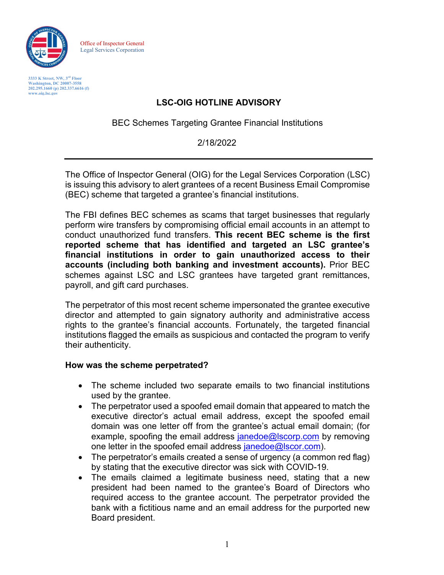

Office of Inspector General Legal Services Corporation

**3333 K Street, NW, 3rd Floor Washington, DC 20007-3558 202.295.1660 (p) 202.337.6616 (f) [www.oig.lsc.gov](http://www.oig.lsc.gov/)**

# **LSC-OIG HOTLINE ADVISORY**

BEC Schemes Targeting Grantee Financial Institutions

### 2/18/2022

The Office of Inspector General (OIG) for the Legal Services Corporation (LSC) is issuing this advisory to alert grantees of a recent Business Email Compromise (BEC) scheme that targeted a grantee's financial institutions.

The FBI defines BEC schemes as scams that target businesses that regularly perform wire transfers by compromising official email accounts in an attempt to conduct unauthorized fund transfers. **This recent BEC scheme is the first reported scheme that has identified and targeted an LSC grantee's financial institutions in order to gain unauthorized access to their accounts (including both banking and investment accounts).** Prior BEC schemes against LSC and LSC grantees have targeted grant remittances, payroll, and gift card purchases.

The perpetrator of this most recent scheme impersonated the grantee executive director and attempted to gain signatory authority and administrative access rights to the grantee's financial accounts. Fortunately, the targeted financial institutions flagged the emails as suspicious and contacted the program to verify their authenticity.

#### **How was the scheme perpetrated?**

- The scheme included two separate emails to two financial institutions used by the grantee.
- The perpetrator used a spoofed email domain that appeared to match the executive director's actual email address, except the spoofed email domain was one letter off from the grantee's actual email domain; (for example, spoofing the email address [janedoe@lscorp.com](mailto:janedoe@lscorp.com) by removing one letter in the spoofed email address [janedoe@lscor.com\)](mailto:janedoe@lscor.com).
- The perpetrator's emails created a sense of urgency (a common red flag) by stating that the executive director was sick with COVID-19.
- The emails claimed a legitimate business need, stating that a new president had been named to the grantee's Board of Directors who required access to the grantee account. The perpetrator provided the bank with a fictitious name and an email address for the purported new Board president.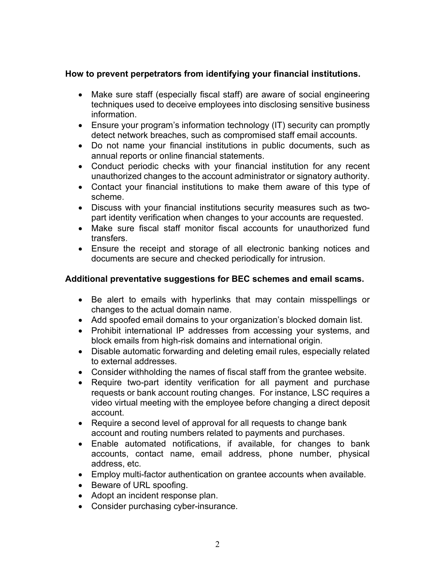## **How to prevent perpetrators from identifying your financial institutions.**

- Make sure staff (especially fiscal staff) are aware of social engineering techniques used to deceive employees into disclosing sensitive business information.
- Ensure your program's information technology (IT) security can promptly detect network breaches, such as compromised staff email accounts.
- Do not name your financial institutions in public documents, such as annual reports or online financial statements.
- Conduct periodic checks with your financial institution for any recent unauthorized changes to the account administrator or signatory authority.
- Contact your financial institutions to make them aware of this type of scheme.
- Discuss with your financial institutions security measures such as twopart identity verification when changes to your accounts are requested.
- Make sure fiscal staff monitor fiscal accounts for unauthorized fund transfers.
- Ensure the receipt and storage of all electronic banking notices and documents are secure and checked periodically for intrusion.

### **Additional preventative suggestions for BEC schemes and email scams.**

- Be alert to emails with hyperlinks that may contain misspellings or changes to the actual domain name.
- Add spoofed email domains to your organization's blocked domain list.
- Prohibit international IP addresses from accessing your systems, and block emails from high-risk domains and international origin.
- Disable automatic forwarding and deleting email rules, especially related to external addresses.
- Consider withholding the names of fiscal staff from the grantee website.
- Require two-part identity verification for all payment and purchase requests or bank account routing changes. For instance, LSC requires a video virtual meeting with the employee before changing a direct deposit account.
- Require a second level of approval for all requests to change bank account and routing numbers related to payments and purchases.
- Enable automated notifications, if available, for changes to bank accounts, contact name, email address, phone number, physical address, etc.
- Employ multi-factor authentication on grantee accounts when available.
- Beware of URL spoofing.
- Adopt an incident response plan.
- Consider purchasing cyber-insurance.